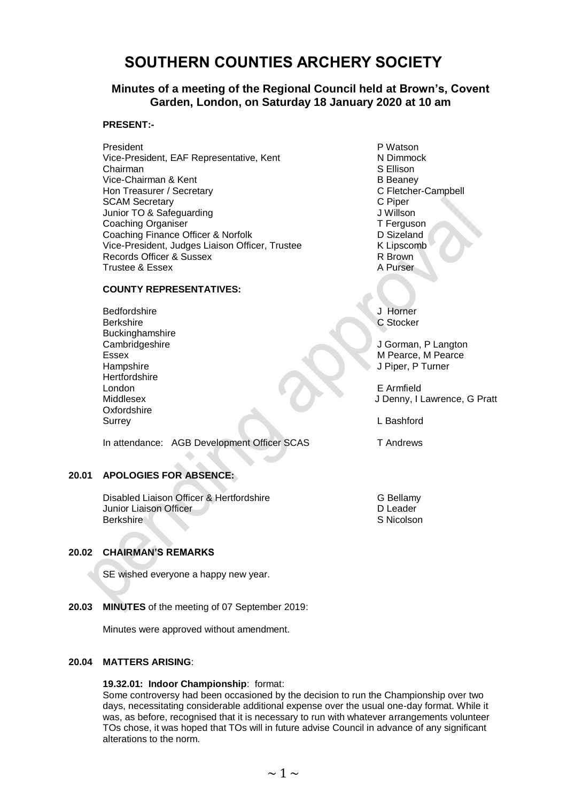# **SOUTHERN COUNTIES ARCHERY SOCIETY**

# **Minutes of a meeting of the Regional Council held at Brown's, Covent Garden, London, on Saturday 18 January 2020 at 10 am**

## **PRESENT:-**

President **P** Watson Vice-President, EAF Representative, Kent North N Dimmock Chairman S Ellison Vice-Chairman & Kent B Beaney Hon Treasurer / Secretary Campbell **C** Fletcher-Campbell SCAM Secretary Camera Control of the SCAM Secretary Camera Control of the Camera Control of Camera Control of C<br>
Scale Control of Camera Control of Camera Control of Camera Control of Camera Control of Camera Control of Ca Junior TO & Safeguarding Coaching Organiser T Ferguson Coaching Finance Officer & Norfolk D Sizeland Vice-President, Judges Liaison Officer, Trustee K Lipscomb Records Officer & Sussex Records Officer & Sussex Trustee & Essex A Purser

# **COUNTY REPRESENTATIVES:**

Bedfordshire **J** Horner Berkshire C Stocker Buckinghamshire Hampshire J Piper, P Turner **Hertfordshire** London E Armfield Oxfordshire Surrey L Bashford

In attendance: AGB Development Officer SCAS T Andrews

# **20.01 APOLOGIES FOR ABSENCE:**

Disabled Liaison Officer & Hertfordshire G Bellamy<br>
Unior Liaison Officer G Bellamy<br>
D Leader Junior Liaison Officer<br>Berkshire

# **20.02 CHAIRMAN'S REMARKS**

SE wished everyone a happy new year.

**20.03 MINUTES** of the meeting of 07 September 2019:

Minutes were approved without amendment.

# **20.04 MATTERS ARISING**:

## **19.32.01: Indoor Championship**: format:

Some controversy had been occasioned by the decision to run the Championship over two days, necessitating considerable additional expense over the usual one-day format. While it was, as before, recognised that it is necessary to run with whatever arrangements volunteer TOs chose, it was hoped that TOs will in future advise Council in advance of any significant alterations to the norm.

Cambridgeshire J Gorman, P Langton Essex M Pearce, M Pearce, M Pearce, M Pearce

Middlesex J Denny, I Lawrence, G Pratt

S Nicolson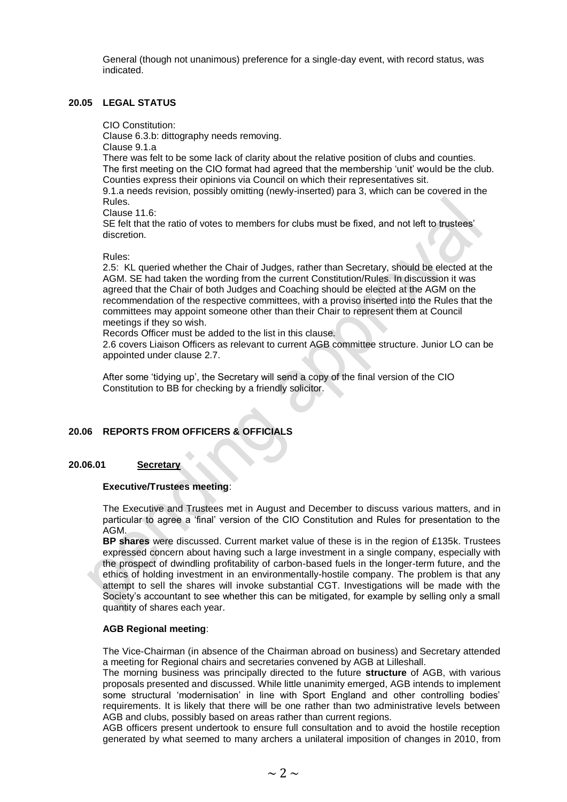General (though not unanimous) preference for a single-day event, with record status, was indicated.

## **20.05 LEGAL STATUS**

CIO Constitution:

Clause 6.3.b: dittography needs removing.

Clause 9.1.a

There was felt to be some lack of clarity about the relative position of clubs and counties. The first meeting on the CIO format had agreed that the membership 'unit' would be the club. Counties express their opinions via Council on which their representatives sit.

9.1.a needs revision, possibly omitting (newly-inserted) para 3, which can be covered in the Rules.

Clause 11.6:

SE felt that the ratio of votes to members for clubs must be fixed, and not left to trustees' discretion.

Rules:

2.5: KL queried whether the Chair of Judges, rather than Secretary, should be elected at the AGM. SE had taken the wording from the current Constitution/Rules. In discussion it was agreed that the Chair of both Judges and Coaching should be elected at the AGM on the recommendation of the respective committees, with a proviso inserted into the Rules that the committees may appoint someone other than their Chair to represent them at Council meetings if they so wish.

Records Officer must be added to the list in this clause.

2.6 covers Liaison Officers as relevant to current AGB committee structure. Junior LO can be appointed under clause 2.7.

After some 'tidying up', the Secretary will send a copy of the final version of the CIO Constitution to BB for checking by a friendly solicitor.

# **20.06 REPORTS FROM OFFICERS & OFFICIALS**

#### **20.06.01 Secretary**

#### **Executive/Trustees meeting**:

The Executive and Trustees met in August and December to discuss various matters, and in particular to agree a 'final' version of the CIO Constitution and Rules for presentation to the AGM.

**BP shares** were discussed. Current market value of these is in the region of £135k. Trustees expressed concern about having such a large investment in a single company, especially with the prospect of dwindling profitability of carbon-based fuels in the longer-term future, and the ethics of holding investment in an environmentally-hostile company. The problem is that any attempt to sell the shares will invoke substantial CGT. Investigations will be made with the Society's accountant to see whether this can be mitigated, for example by selling only a small quantity of shares each year.

#### **AGB Regional meeting**:

The Vice-Chairman (in absence of the Chairman abroad on business) and Secretary attended a meeting for Regional chairs and secretaries convened by AGB at Lilleshall.

The morning business was principally directed to the future **structure** of AGB, with various proposals presented and discussed. While little unanimity emerged, AGB intends to implement some structural 'modernisation' in line with Sport England and other controlling bodies' requirements. It is likely that there will be one rather than two administrative levels between AGB and clubs, possibly based on areas rather than current regions.

AGB officers present undertook to ensure full consultation and to avoid the hostile reception generated by what seemed to many archers a unilateral imposition of changes in 2010, from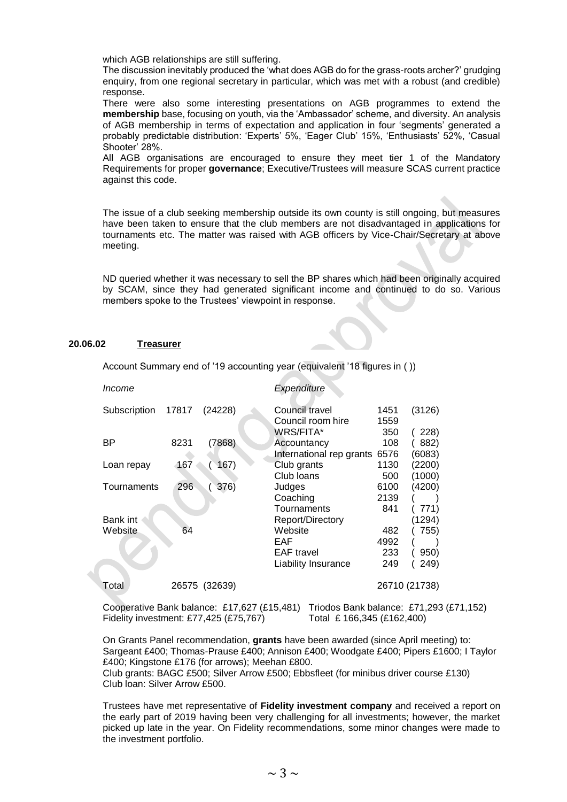which AGB relationships are still suffering.

The discussion inevitably produced the 'what does AGB do for the grass-roots archer?' grudging enquiry, from one regional secretary in particular, which was met with a robust (and credible) response.

There were also some interesting presentations on AGB programmes to extend the **membership** base, focusing on youth, via the 'Ambassador' scheme, and diversity. An analysis of AGB membership in terms of expectation and application in four 'segments' generated a probably predictable distribution: 'Experts' 5%, 'Eager Club' 15%, 'Enthusiasts' 52%, 'Casual Shooter' 28%.

All AGB organisations are encouraged to ensure they meet tier 1 of the Mandatory Requirements for proper **governance**; Executive/Trustees will measure SCAS current practice against this code.

The issue of a club seeking membership outside its own county is still ongoing, but measures have been taken to ensure that the club members are not disadvantaged in applications for tournaments etc. The matter was raised with AGB officers by Vice-Chair/Secretary at above meeting.

ND queried whether it was necessary to sell the BP shares which had been originally acquired by SCAM, since they had generated significant income and continued to do so. Various members spoke to the Trustees' viewpoint in response.

#### **20.06.02 Treasurer**

| Income       |       |         | Expenditure                                                |              |                            |
|--------------|-------|---------|------------------------------------------------------------|--------------|----------------------------|
| Subscription | 17817 | (24228) | Council travel<br>Council room hire                        | 1451<br>1559 | (3126)                     |
| ΒP           | 8231  | (7868)  | WRS/FITA*<br>Accountancy                                   | 350<br>108   | 228)<br>882)               |
| Loan repay   | 167   | 167)    | International rep grants 6576<br>Club grants<br>Club Ioans | 1130<br>500  | (6083)<br>(2200)<br>(1000) |
| Tournaments  | 296   | 376)    | Judges<br>Coaching                                         | 6100<br>2139 | (4200)                     |
| Bank int     |       |         | Tournaments<br>Report/Directory                            | 841          | 771)<br>1294)              |
| Website      | 64    |         | Website<br>EAF                                             | 482<br>4992  | 755)                       |
|              |       |         | <b>EAF</b> travel<br>Liability Insurance                   | 233<br>249   | 950)<br>249)               |
| Total        | 26575 | (32639) |                                                            |              | 26710 (21738)              |

Account Summary end of '19 accounting year (equivalent '18 figures in ( ))

Cooperative Bank balance: £17,627 (£15,481) Triodos Bank balance: £71,293 (£71,152) Fidelity investment: £77,425 (£75,767) Total £ 166,345 (£162,400)

On Grants Panel recommendation, **grants** have been awarded (since April meeting) to: Sargeant £400; Thomas-Prause £400; Annison £400; Woodgate £400; Pipers £1600; I Taylor £400; Kingstone £176 (for arrows); Meehan £800.

Club grants: BAGC £500; Silver Arrow £500; Ebbsfleet (for minibus driver course £130) Club loan: Silver Arrow £500.

Trustees have met representative of **Fidelity investment company** and received a report on the early part of 2019 having been very challenging for all investments; however, the market picked up late in the year. On Fidelity recommendations, some minor changes were made to the investment portfolio.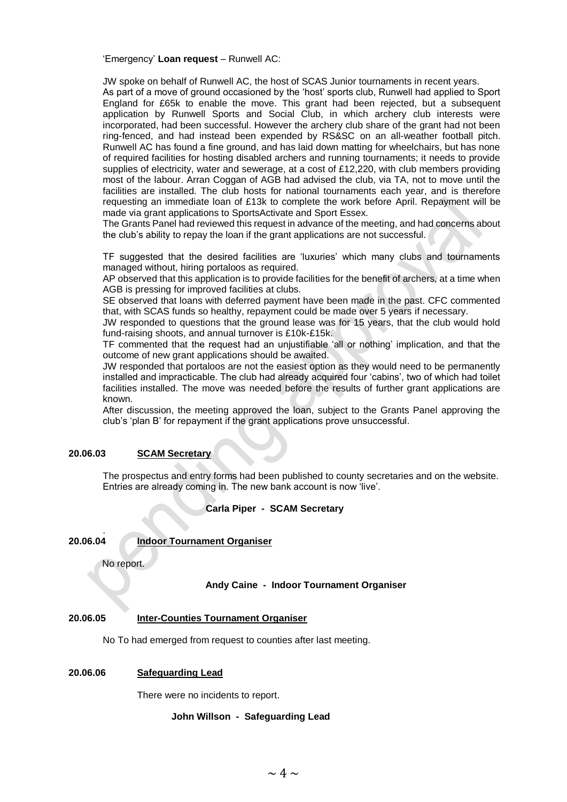'Emergency' **Loan request** – Runwell AC:

JW spoke on behalf of Runwell AC, the host of SCAS Junior tournaments in recent years. As part of a move of ground occasioned by the 'host' sports club, Runwell had applied to Sport England for £65k to enable the move. This grant had been rejected, but a subsequent application by Runwell Sports and Social Club, in which archery club interests were incorporated, had been successful. However the archery club share of the grant had not been ring-fenced, and had instead been expended by RS&SC on an all-weather football pitch. Runwell AC has found a fine ground, and has laid down matting for wheelchairs, but has none of required facilities for hosting disabled archers and running tournaments; it needs to provide supplies of electricity, water and sewerage, at a cost of £12,220, with club members providing most of the labour. Arran Coggan of AGB had advised the club, via TA, not to move until the facilities are installed. The club hosts for national tournaments each year, and is therefore requesting an immediate loan of £13k to complete the work before April. Repayment will be made via grant applications to SportsActivate and Sport Essex.

The Grants Panel had reviewed this request in advance of the meeting, and had concerns about the club's ability to repay the loan if the grant applications are not successful.

TF suggested that the desired facilities are 'luxuries' which many clubs and tournaments managed without, hiring portaloos as required.

AP observed that this application is to provide facilities for the benefit of archers, at a time when AGB is pressing for improved facilities at clubs.

SE observed that loans with deferred payment have been made in the past. CFC commented that, with SCAS funds so healthy, repayment could be made over 5 years if necessary.

JW responded to questions that the ground lease was for 15 years, that the club would hold fund-raising shoots, and annual turnover is £10k-£15k.

TF commented that the request had an unjustifiable 'all or nothing' implication, and that the outcome of new grant applications should be awaited.

JW responded that portaloos are not the easiest option as they would need to be permanently installed and impracticable. The club had already acquired four 'cabins', two of which had toilet facilities installed. The move was needed before the results of further grant applications are known.

After discussion, the meeting approved the loan, subject to the Grants Panel approving the club's 'plan B' for repayment if the grant applications prove unsuccessful.

# **20.06.03 SCAM Secretary**

The prospectus and entry forms had been published to county secretaries and on the website. Entries are already coming in. The new bank account is now 'live'.

**Carla Piper - SCAM Secretary**

.

# **20.06.04 Indoor Tournament Organiser**

No report.

#### **Andy Caine - Indoor Tournament Organiser**

#### **20.06.05 Inter-Counties Tournament Organiser**

No To had emerged from request to counties after last meeting.

#### **20.06.06 Safeguarding Lead**

There were no incidents to report.

#### **John Willson - Safeguarding Lead**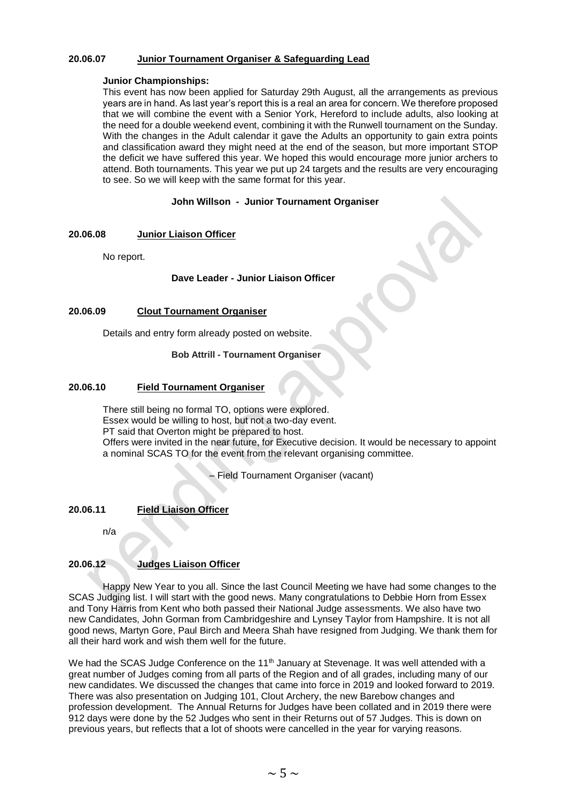## **20.06.07 Junior Tournament Organiser & Safeguarding Lead**

#### **Junior Championships:**

This event has now been applied for Saturday 29th August, all the arrangements as previous years are in hand. As last year's report this is a real an area for concern. We therefore proposed that we will combine the event with a Senior York, Hereford to include adults, also looking at the need for a double weekend event, combining it with the Runwell tournament on the Sunday. With the changes in the Adult calendar it gave the Adults an opportunity to gain extra points and classification award they might need at the end of the season, but more important STOP the deficit we have suffered this year. We hoped this would encourage more junior archers to attend. Both tournaments. This year we put up 24 targets and the results are very encouraging to see. So we will keep with the same format for this year.

#### **John Willson - Junior Tournament Organiser**

#### **20.06.08 Junior Liaison Officer**

No report.

## **Dave Leader - Junior Liaison Officer**

#### **20.06.09 Clout Tournament Organiser**

Details and entry form already posted on website.

**Bob Attrill - Tournament Organiser**

#### **20.06.10 Field Tournament Organiser**

There still being no formal TO, options were explored. Essex would be willing to host, but not a two-day event. PT said that Overton might be prepared to host. Offers were invited in the near future, for Executive decision. It would be necessary to appoint a nominal SCAS TO for the event from the relevant organising committee.

– Field Tournament Organiser (vacant)

## **20.06.11 Field Liaison Officer**

n/a

## **20.06.12 Judges Liaison Officer**

Happy New Year to you all. Since the last Council Meeting we have had some changes to the SCAS Judging list. I will start with the good news. Many congratulations to Debbie Horn from Essex and Tony Harris from Kent who both passed their National Judge assessments. We also have two new Candidates, John Gorman from Cambridgeshire and Lynsey Taylor from Hampshire. It is not all good news, Martyn Gore, Paul Birch and Meera Shah have resigned from Judging. We thank them for all their hard work and wish them well for the future.

We had the SCAS Judge Conference on the 11<sup>th</sup> January at Stevenage. It was well attended with a great number of Judges coming from all parts of the Region and of all grades, including many of our new candidates. We discussed the changes that came into force in 2019 and looked forward to 2019. There was also presentation on Judging 101, Clout Archery, the new Barebow changes and profession development. The Annual Returns for Judges have been collated and in 2019 there were 912 days were done by the 52 Judges who sent in their Returns out of 57 Judges. This is down on previous years, but reflects that a lot of shoots were cancelled in the year for varying reasons.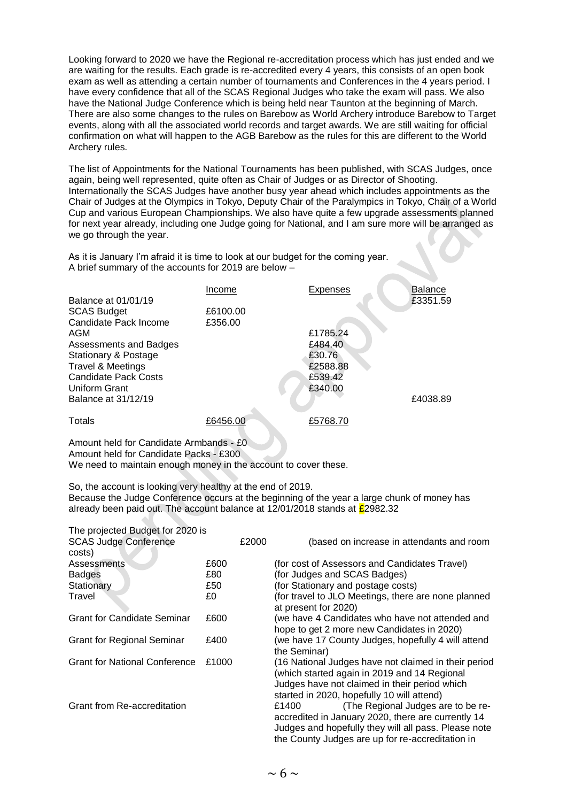Looking forward to 2020 we have the Regional re-accreditation process which has just ended and we are waiting for the results. Each grade is re-accredited every 4 years, this consists of an open book exam as well as attending a certain number of tournaments and Conferences in the 4 years period. I have every confidence that all of the SCAS Regional Judges who take the exam will pass. We also have the National Judge Conference which is being held near Taunton at the beginning of March. There are also some changes to the rules on Barebow as World Archery introduce Barebow to Target events, along with all the associated world records and target awards. We are still waiting for official confirmation on what will happen to the AGB Barebow as the rules for this are different to the World Archery rules.

The list of Appointments for the National Tournaments has been published, with SCAS Judges, once again, being well represented, quite often as Chair of Judges or as Director of Shooting. Internationally the SCAS Judges have another busy year ahead which includes appointments as the Chair of Judges at the Olympics in Tokyo, Deputy Chair of the Paralympics in Tokyo, Chair of a World Cup and various European Championships. We also have quite a few upgrade assessments planned for next year already, including one Judge going for National, and I am sure more will be arranged as we go through the year.

As it is January I'm afraid it is time to look at our budget for the coming year. A brief summary of the accounts for 2019 are below –

| Balance at 01/01/19          | Income   | Expenses | <b>Balance</b><br>£3351.59 |
|------------------------------|----------|----------|----------------------------|
| <b>SCAS Budget</b>           | £6100.00 |          |                            |
| Candidate Pack Income        | £356.00  |          |                            |
| AGM                          |          | £1785.24 |                            |
| Assessments and Badges       |          | £484.40  |                            |
| Stationary & Postage         |          | £30.76   |                            |
| <b>Travel &amp; Meetings</b> |          | £2588.88 |                            |
| Candidate Pack Costs         |          | £539.42  |                            |
| Uniform Grant                |          | £340.00  |                            |
| Balance at 31/12/19          |          |          | £4038.89                   |
| Totals                       | £6456.00 | £5768.70 |                            |

Amount held for Candidate Armbands - £0 Amount held for Candidate Packs - £300

We need to maintain enough money in the account to cover these.

So, the account is looking very healthy at the end of 2019.

Because the Judge Conference occurs at the beginning of the year a large chunk of money has already been paid out. The account balance at  $12/01/2018$  stands at  $\frac{2082.32}{1}$ 

| The projected Budget for 2020 is     |       |       |                                                                                                                                                                                                               |
|--------------------------------------|-------|-------|---------------------------------------------------------------------------------------------------------------------------------------------------------------------------------------------------------------|
| <b>SCAS Judge Conference</b>         |       | £2000 | (based on increase in attendants and room                                                                                                                                                                     |
| costs)                               |       |       |                                                                                                                                                                                                               |
| Assessments                          | £600  |       | (for cost of Assessors and Candidates Travel)                                                                                                                                                                 |
| <b>Badges</b>                        | £80   |       | (for Judges and SCAS Badges)                                                                                                                                                                                  |
| Stationary                           | £50   |       | (for Stationary and postage costs)                                                                                                                                                                            |
| Travel                               | £0    |       | (for travel to JLO Meetings, there are none planned<br>at present for 2020)                                                                                                                                   |
| <b>Grant for Candidate Seminar</b>   | £600  |       | (we have 4 Candidates who have not attended and<br>hope to get 2 more new Candidates in 2020)                                                                                                                 |
| <b>Grant for Regional Seminar</b>    | £400  |       | (we have 17 County Judges, hopefully 4 will attend<br>the Seminar)                                                                                                                                            |
| <b>Grant for National Conference</b> | £1000 |       | (16 National Judges have not claimed in their period<br>(which started again in 2019 and 14 Regional<br>Judges have not claimed in their period which                                                         |
|                                      |       |       | started in 2020, hopefully 10 will attend)                                                                                                                                                                    |
| <b>Grant from Re-accreditation</b>   |       |       | (The Regional Judges are to be re-<br>£1400<br>accredited in January 2020, there are currently 14<br>Judges and hopefully they will all pass. Please note<br>the County Judges are up for re-accreditation in |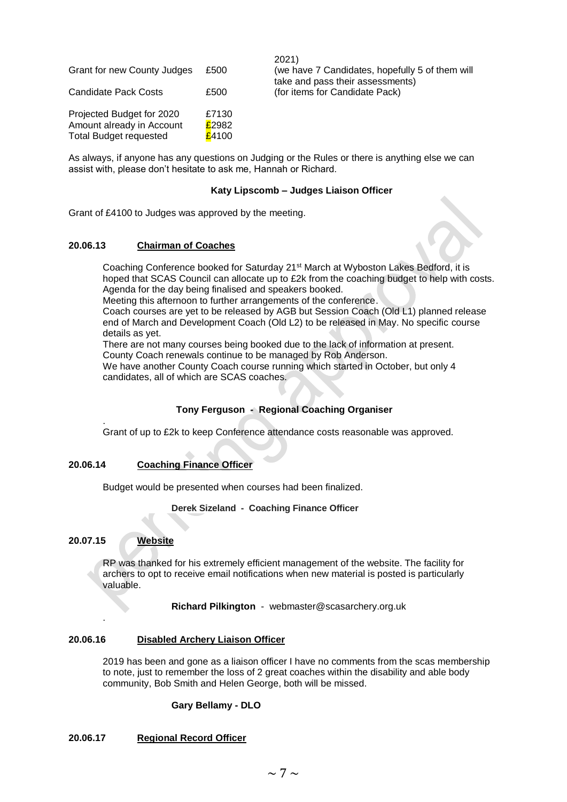| <b>Grant for new County Judges</b>                                                      | £500                    |
|-----------------------------------------------------------------------------------------|-------------------------|
| <b>Candidate Pack Costs</b>                                                             | £500                    |
| Projected Budget for 2020<br>Amount already in Account<br><b>Total Budget requested</b> | £7130<br>£2982<br>£4100 |

2021) (we have 7 Candidates, hopefully 5 of them will take and pass their assessments) (for items for Candidate Pack)

As always, if anyone has any questions on Judging or the Rules or there is anything else we can assist with, please don't hesitate to ask me, Hannah or Richard.

#### **Katy Lipscomb – Judges Liaison Officer**

Grant of £4100 to Judges was approved by the meeting.

#### **20.06.13 Chairman of Coaches**

Coaching Conference booked for Saturday 21st March at Wyboston Lakes Bedford, it is hoped that SCAS Council can allocate up to £2k from the coaching budget to help with costs. Agenda for the day being finalised and speakers booked.

Meeting this afternoon to further arrangements of the conference.

Coach courses are yet to be released by AGB but Session Coach (Old L1) planned release end of March and Development Coach (Old L2) to be released in May. No specific course details as yet.

There are not many courses being booked due to the lack of information at present. County Coach renewals continue to be managed by Rob Anderson.

We have another County Coach course running which started in October, but only 4 candidates, all of which are SCAS coaches.

## **Tony Ferguson - Regional Coaching Organiser**

Grant of up to £2k to keep Conference attendance costs reasonable was approved.

## **20.06.14 Coaching Finance Officer**

Budget would be presented when courses had been finalized.

**Derek Sizeland - Coaching Finance Officer**

## **20.07.15 Website**

.

.

RP was thanked for his extremely efficient management of the website. The facility for archers to opt to receive email notifications when new material is posted is particularly valuable.

**Richard Pilkington** - webmaster@scasarchery.org.uk

#### **20.06.16 Disabled Archery Liaison Officer**

2019 has been and gone as a liaison officer I have no comments from the scas membership to note, just to remember the loss of 2 great coaches within the disability and able body community, Bob Smith and Helen George, both will be missed.

#### **Gary Bellamy - DLO**

## **20.06.17 Regional Record Officer**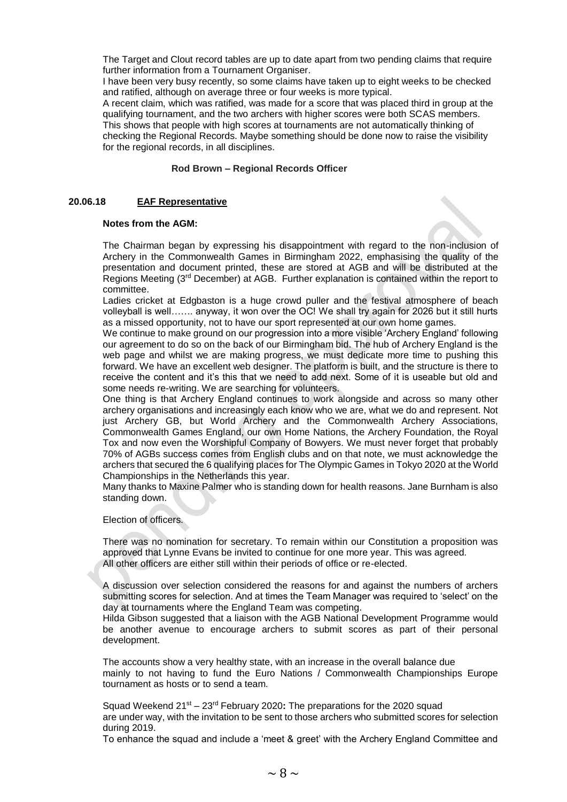The Target and Clout record tables are up to date apart from two pending claims that require further information from a Tournament Organiser.

I have been very busy recently, so some claims have taken up to eight weeks to be checked and ratified, although on average three or four weeks is more typical.

A recent claim, which was ratified, was made for a score that was placed third in group at the qualifying tournament, and the two archers with higher scores were both SCAS members. This shows that people with high scores at tournaments are not automatically thinking of checking the Regional Records. Maybe something should be done now to raise the visibility for the regional records, in all disciplines.

#### **Rod Brown – Regional Records Officer**

#### **20.06.18 EAF Representative**

## **Notes from the AGM:**

The Chairman began by expressing his disappointment with regard to the non-inclusion of Archery in the Commonwealth Games in Birmingham 2022, emphasising the quality of the presentation and document printed, these are stored at AGB and will be distributed at the Regions Meeting  $(3<sup>rd</sup>$  December) at AGB. Further explanation is contained within the report to committee.

Ladies cricket at Edgbaston is a huge crowd puller and the festival atmosphere of beach volleyball is well……. anyway, it won over the OC! We shall try again for 2026 but it still hurts as a missed opportunity, not to have our sport represented at our own home games.

We continue to make ground on our progression into a more visible 'Archery England' following our agreement to do so on the back of our Birmingham bid. The hub of Archery England is the web page and whilst we are making progress, we must dedicate more time to pushing this forward. We have an excellent web designer. The platform is built, and the structure is there to receive the content and it's this that we need to add next. Some of it is useable but old and some needs re-writing. We are searching for volunteers.

One thing is that Archery England continues to work alongside and across so many other archery organisations and increasingly each know who we are, what we do and represent. Not just Archery GB, but World Archery and the Commonwealth Archery Associations, Commonwealth Games England, our own Home Nations, the Archery Foundation, the Royal Tox and now even the Worshipful Company of Bowyers. We must never forget that probably 70% of AGBs success comes from English clubs and on that note, we must acknowledge the archers that secured the 6 qualifying places for The Olympic Games in Tokyo 2020 at the World Championships in the Netherlands this year.

Many thanks to Maxine Palmer who is standing down for health reasons. Jane Burnham is also standing down.

Election of officers.

There was no nomination for secretary. To remain within our Constitution a proposition was approved that Lynne Evans be invited to continue for one more year. This was agreed. All other officers are either still within their periods of office or re-elected.

A discussion over selection considered the reasons for and against the numbers of archers submitting scores for selection. And at times the Team Manager was required to 'select' on the day at tournaments where the England Team was competing.

Hilda Gibson suggested that a liaison with the AGB National Development Programme would be another avenue to encourage archers to submit scores as part of their personal development.

The accounts show a very healthy state, with an increase in the overall balance due mainly to not having to fund the Euro Nations / Commonwealth Championships Europe tournament as hosts or to send a team.

Squad Weekend 21st – 23rd February 2020**:** The preparations for the 2020 squad are under way, with the invitation to be sent to those archers who submitted scores for selection during 2019.

To enhance the squad and include a 'meet & greet' with the Archery England Committee and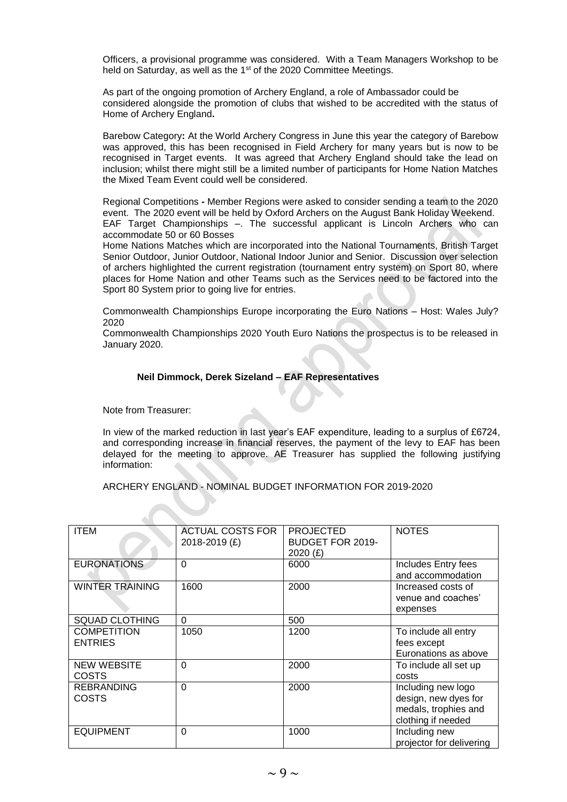Officers, a provisional programme was considered. With a Team Managers Workshop to be held on Saturday, as well as the 1<sup>st</sup> of the 2020 Committee Meetings.

As part of the ongoing promotion of Archery England, a role of Ambassador could be considered alongside the promotion of clubs that wished to be accredited with the status of Home of Archery England**.**

Barebow Category**:** At the World Archery Congress in June this year the category of Barebow was approved, this has been recognised in Field Archery for many years but is now to be recognised in Target events. It was agreed that Archery England should take the lead on inclusion; whilst there might still be a limited number of participants for Home Nation Matches the Mixed Team Event could well be considered.

Regional Competitions **-** Member Regions were asked to consider sending a team to the 2020 event. The 2020 event will be held by Oxford Archers on the August Bank Holiday Weekend. EAF Target Championships –. The successful applicant is Lincoln Archers who can accommodate 50 or 60 Bosses

Home Nations Matches which are incorporated into the National Tournaments, British Target Senior Outdoor, Junior Outdoor, National Indoor Junior and Senior. Discussion over selection of archers highlighted the current registration (tournament entry system) on Sport 80, where places for Home Nation and other Teams such as the Services need to be factored into the Sport 80 System prior to going live for entries.

Commonwealth Championships Europe incorporating the Euro Nations – Host: Wales July? 2020

Commonwealth Championships 2020 Youth Euro Nations the prospectus is to be released in January 2020.

#### **Neil Dimmock, Derek Sizeland – EAF Representatives**

Note from Treasurer:

In view of the marked reduction in last year's EAF expenditure, leading to a surplus of £6724, and corresponding increase in financial reserves, the payment of the levy to EAF has been delayed for the meeting to approve. AE Treasurer has supplied the following justifying information:

ARCHERY ENGLAND - NOMINAL BUDGET INFORMATION FOR 2019-2020

| <b>ITEM</b>                          | <b>ACTUAL COSTS FOR</b><br>2018-2019 (£) | <b>PROJECTED</b><br><b>BUDGET FOR 2019-</b><br>2020(f) | <b>NOTES</b>                                                                             |
|--------------------------------------|------------------------------------------|--------------------------------------------------------|------------------------------------------------------------------------------------------|
| <b>EURONATIONS</b>                   | $\Omega$                                 | 6000                                                   | Includes Entry fees<br>and accommodation                                                 |
| <b>WINTER TRAINING</b>               | 1600                                     | 2000                                                   | Increased costs of<br>venue and coaches'<br>expenses                                     |
| <b>SQUAD CLOTHING</b>                | $\Omega$                                 | 500                                                    |                                                                                          |
| <b>COMPETITION</b><br><b>ENTRIES</b> | 1050                                     | 1200                                                   | To include all entry<br>fees except<br>Euronations as above                              |
| <b>NEW WEBSITE</b><br><b>COSTS</b>   | $\Omega$                                 | 2000                                                   | To include all set up<br>costs                                                           |
| <b>REBRANDING</b><br>COSTS           | $\Omega$                                 | 2000                                                   | Including new logo<br>design, new dyes for<br>medals, trophies and<br>clothing if needed |
| <b>EQUIPMENT</b>                     | $\Omega$                                 | 1000                                                   | Including new<br>projector for delivering                                                |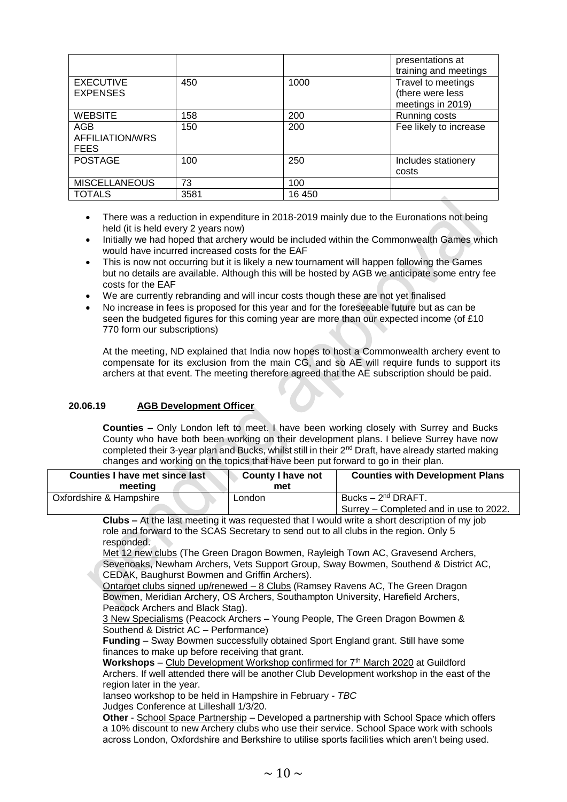|                                                     |      |        | presentations at<br>training and meetings                   |
|-----------------------------------------------------|------|--------|-------------------------------------------------------------|
| <b>EXECUTIVE</b><br><b>EXPENSES</b>                 | 450  | 1000   | Travel to meetings<br>(there were less<br>meetings in 2019) |
| <b>WEBSITE</b>                                      | 158  | 200    | Running costs                                               |
| <b>AGB</b><br><b>AFFILIATION/WRS</b><br><b>FEES</b> | 150  | 200    | Fee likely to increase                                      |
| <b>POSTAGE</b>                                      | 100  | 250    | Includes stationery<br>costs                                |
| <b>MISCELLANEOUS</b>                                | 73   | 100    |                                                             |
| <b>TOTALS</b>                                       | 3581 | 16 450 |                                                             |

- There was a reduction in expenditure in 2018-2019 mainly due to the Euronations not being held (it is held every 2 years now)
- Initially we had hoped that archery would be included within the Commonwealth Games which would have incurred increased costs for the EAF
- This is now not occurring but it is likely a new tournament will happen following the Games but no details are available. Although this will be hosted by AGB we anticipate some entry fee costs for the EAF
- We are currently rebranding and will incur costs though these are not yet finalised
- No increase in fees is proposed for this year and for the foreseeable future but as can be seen the budgeted figures for this coming year are more than our expected income (of £10 770 form our subscriptions)

At the meeting, ND explained that India now hopes to host a Commonwealth archery event to compensate for its exclusion from the main CG, and so AE will require funds to support its archers at that event. The meeting therefore agreed that the AE subscription should be paid.

# **20.06.19 AGB Development Officer**

**Counties –** Only London left to meet. I have been working closely with Surrey and Bucks County who have both been working on their development plans. I believe Surrey have now completed their 3-year plan and Bucks, whilst still in their 2<sup>nd</sup> Draft, have already started making changes and working on the topics that have been put forward to go in their plan.

| Counties I have met since last<br>meeting | <b>County I have not</b><br>met | <b>Counties with Development Plans</b>                                   |
|-------------------------------------------|---------------------------------|--------------------------------------------------------------------------|
| Oxfordshire & Hampshire                   | ∟ondon                          | Bucks – 2 <sup>nd</sup> DRAFT.<br>Surrey – Completed and in use to 2022. |

**Clubs –** At the last meeting it was requested that I would write a short description of my job role and forward to the SCAS Secretary to send out to all clubs in the region. Only 5 responded.

Met 12 new clubs (The Green Dragon Bowmen, Rayleigh Town AC, Gravesend Archers, Sevenoaks, Newham Archers, Vets Support Group, Sway Bowmen, Southend & District AC, CEDAK, Baughurst Bowmen and Griffin Archers).

Ontarget clubs signed up/renewed – 8 Clubs (Ramsey Ravens AC, The Green Dragon Bowmen, Meridian Archery, OS Archers, Southampton University, Harefield Archers, Peacock Archers and Black Stag).

3 New Specialisms (Peacock Archers – Young People, The Green Dragon Bowmen & Southend & District AC – Performance)

**Funding** – Sway Bowmen successfully obtained Sport England grant. Still have some finances to make up before receiving that grant.

Workshops – Club Development Workshop confirmed for 7<sup>th</sup> March 2020 at Guildford Archers. If well attended there will be another Club Development workshop in the east of the region later in the year.

Ianseo workshop to be held in Hampshire in February - *TBC*

Judges Conference at Lilleshall 1/3/20.

**Other** - School Space Partnership – Developed a partnership with School Space which offers a 10% discount to new Archery clubs who use their service. School Space work with schools across London, Oxfordshire and Berkshire to utilise sports facilities which aren't being used.